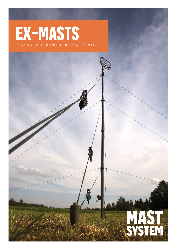## **EX-MASTS**

tactical winch and belt-operated telescopic masts – up to 65.6 feet